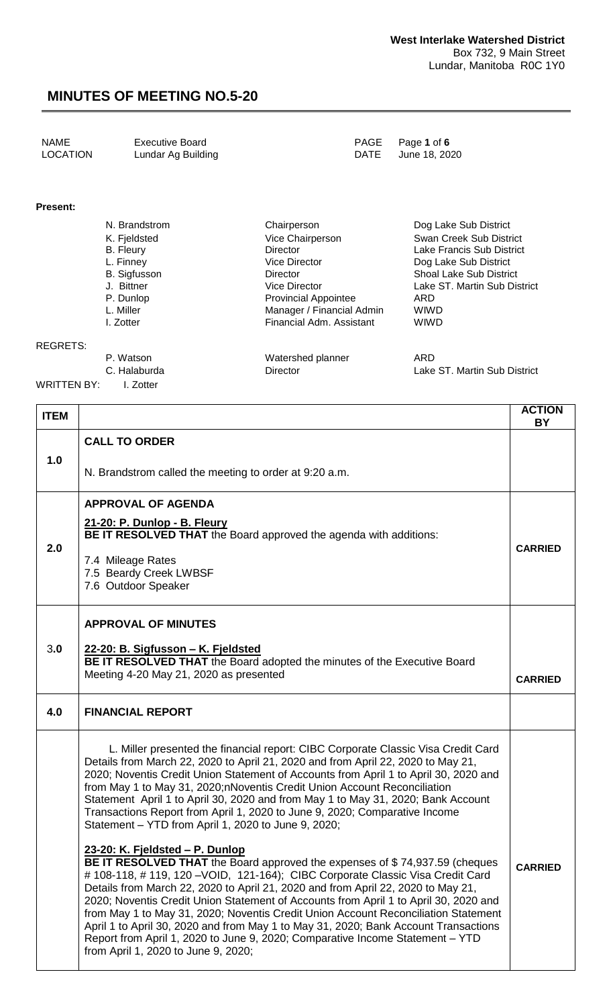| NAME     | <b>Executive Board</b> | PAGE Page 1 of 6   |
|----------|------------------------|--------------------|
| LOCATION | Lundar Ag Building     | DATE June 18, 2020 |

#### **Present:**

| N. Brandstrom       | Chairperson                 | Dog Lake Sub District          |
|---------------------|-----------------------------|--------------------------------|
| K. Fjeldsted        | Vice Chairperson            | Swan Creek Sub District        |
| <b>B.</b> Fleury    | Director                    | Lake Francis Sub District      |
| L. Finney           | Vice Director               | Dog Lake Sub District          |
| <b>B.</b> Sigfusson | Director                    | <b>Shoal Lake Sub District</b> |
| J. Bittner          | Vice Director               | Lake ST. Martin Sub District   |
| P. Dunlop           | <b>Provincial Appointee</b> | ARD                            |
| L. Miller           | Manager / Financial Admin   | <b>WIWD</b>                    |
| I. Zotter           | Financial Adm. Assistant    | <b>WIWD</b>                    |
|                     |                             |                                |
|                     |                             |                                |

#### REGRETS:

|             | P. Watson    | Watershed planner | ARD                          |
|-------------|--------------|-------------------|------------------------------|
|             | C. Halaburda | Director          | Lake ST. Martin Sub District |
| WRITTEN BY: | L Zotter     |                   |                              |

| <b>ITEM</b> |                                                                                                                                                                                                                                                                                                                                                                                                                                                                                                                                                                                                                                                                                       | <b>ACTION</b><br><b>BY</b> |
|-------------|---------------------------------------------------------------------------------------------------------------------------------------------------------------------------------------------------------------------------------------------------------------------------------------------------------------------------------------------------------------------------------------------------------------------------------------------------------------------------------------------------------------------------------------------------------------------------------------------------------------------------------------------------------------------------------------|----------------------------|
|             | <b>CALL TO ORDER</b>                                                                                                                                                                                                                                                                                                                                                                                                                                                                                                                                                                                                                                                                  |                            |
| 1.0         | N. Brandstrom called the meeting to order at 9:20 a.m.                                                                                                                                                                                                                                                                                                                                                                                                                                                                                                                                                                                                                                |                            |
| 2.0         | <b>APPROVAL OF AGENDA</b><br>21-20: P. Dunlop - B. Fleury<br>BE IT RESOLVED THAT the Board approved the agenda with additions:<br>7.4 Mileage Rates<br>7.5 Beardy Creek LWBSF<br>7.6 Outdoor Speaker                                                                                                                                                                                                                                                                                                                                                                                                                                                                                  | <b>CARRIED</b>             |
| 3.0         | <b>APPROVAL OF MINUTES</b><br>22-20: B. Sigfusson - K. Fjeldsted<br>BE IT RESOLVED THAT the Board adopted the minutes of the Executive Board<br>Meeting 4-20 May 21, 2020 as presented                                                                                                                                                                                                                                                                                                                                                                                                                                                                                                | <b>CARRIED</b>             |
| 4.0         | <b>FINANCIAL REPORT</b>                                                                                                                                                                                                                                                                                                                                                                                                                                                                                                                                                                                                                                                               |                            |
|             | L. Miller presented the financial report: CIBC Corporate Classic Visa Credit Card<br>Details from March 22, 2020 to April 21, 2020 and from April 22, 2020 to May 21,<br>2020; Noventis Credit Union Statement of Accounts from April 1 to April 30, 2020 and<br>from May 1 to May 31, 2020; nNoventis Credit Union Account Reconciliation<br>Statement April 1 to April 30, 2020 and from May 1 to May 31, 2020; Bank Account<br>Transactions Report from April 1, 2020 to June 9, 2020; Comparative Income<br>Statement - YTD from April 1, 2020 to June 9, 2020;<br>23-20: K. Fieldsted – P. Dunlop<br>BE IT RESOLVED THAT the Board approved the expenses of \$74,937.59 (cheques |                            |
|             | # 108-118, # 119, 120 - VOID, 121-164); CIBC Corporate Classic Visa Credit Card<br>Details from March 22, 2020 to April 21, 2020 and from April 22, 2020 to May 21,<br>2020; Noventis Credit Union Statement of Accounts from April 1 to April 30, 2020 and<br>from May 1 to May 31, 2020; Noventis Credit Union Account Reconciliation Statement<br>April 1 to April 30, 2020 and from May 1 to May 31, 2020; Bank Account Transactions<br>Report from April 1, 2020 to June 9, 2020; Comparative Income Statement – YTD<br>from April 1, 2020 to June 9, 2020;                                                                                                                      | <b>CARRIED</b>             |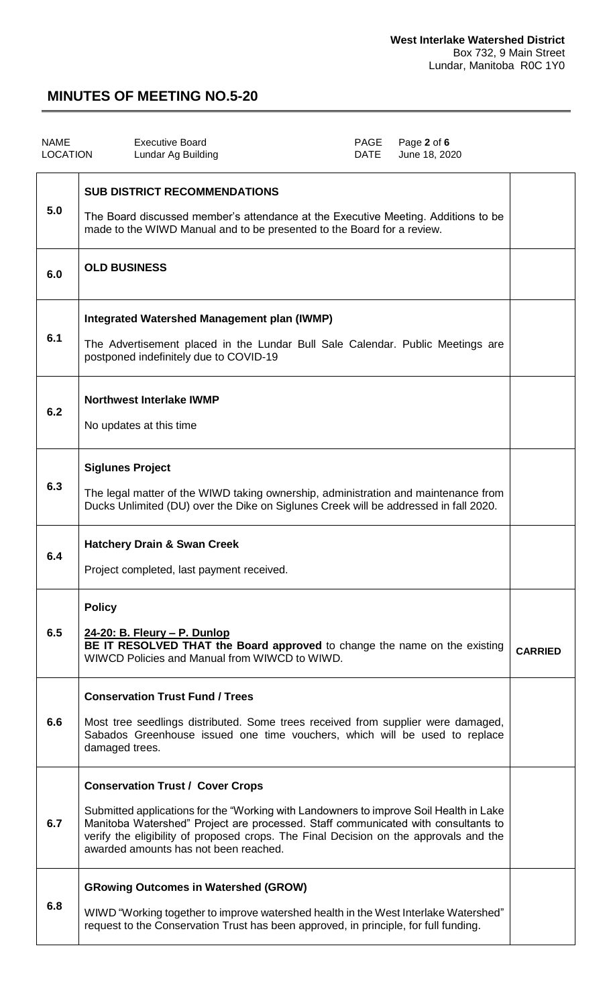| <b>NAME</b><br><b>LOCATION</b> | <b>Executive Board</b><br>Lundar Ag Building                                                                                                                                                                                                                                                                                                             | PAGE<br><b>DATE</b> | Page 2 of 6<br>June 18, 2020 |                |
|--------------------------------|----------------------------------------------------------------------------------------------------------------------------------------------------------------------------------------------------------------------------------------------------------------------------------------------------------------------------------------------------------|---------------------|------------------------------|----------------|
| 5.0                            | <b>SUB DISTRICT RECOMMENDATIONS</b><br>The Board discussed member's attendance at the Executive Meeting. Additions to be<br>made to the WIWD Manual and to be presented to the Board for a review.                                                                                                                                                       |                     |                              |                |
| 6.0                            | <b>OLD BUSINESS</b>                                                                                                                                                                                                                                                                                                                                      |                     |                              |                |
| 6.1                            | <b>Integrated Watershed Management plan (IWMP)</b><br>The Advertisement placed in the Lundar Bull Sale Calendar. Public Meetings are<br>postponed indefinitely due to COVID-19                                                                                                                                                                           |                     |                              |                |
| 6.2                            | <b>Northwest Interlake IWMP</b><br>No updates at this time                                                                                                                                                                                                                                                                                               |                     |                              |                |
| 6.3                            | <b>Siglunes Project</b><br>The legal matter of the WIWD taking ownership, administration and maintenance from<br>Ducks Unlimited (DU) over the Dike on Siglunes Creek will be addressed in fall 2020.                                                                                                                                                    |                     |                              |                |
| 6.4                            | <b>Hatchery Drain &amp; Swan Creek</b><br>Project completed, last payment received.                                                                                                                                                                                                                                                                      |                     |                              |                |
| 6.5                            | <b>Policy</b><br>24-20: B. Fleury - P. Dunlop<br>BE IT RESOLVED THAT the Board approved to change the name on the existing<br>WIWCD Policies and Manual from WIWCD to WIWD.                                                                                                                                                                              |                     |                              | <b>CARRIED</b> |
| 6.6                            | <b>Conservation Trust Fund / Trees</b><br>Most tree seedlings distributed. Some trees received from supplier were damaged,<br>Sabados Greenhouse issued one time vouchers, which will be used to replace<br>damaged trees.                                                                                                                               |                     |                              |                |
| 6.7                            | <b>Conservation Trust / Cover Crops</b><br>Submitted applications for the "Working with Landowners to improve Soil Health in Lake<br>Manitoba Watershed" Project are processed. Staff communicated with consultants to<br>verify the eligibility of proposed crops. The Final Decision on the approvals and the<br>awarded amounts has not been reached. |                     |                              |                |
| 6.8                            | <b>GRowing Outcomes in Watershed (GROW)</b><br>WIWD "Working together to improve watershed health in the West Interlake Watershed"<br>request to the Conservation Trust has been approved, in principle, for full funding.                                                                                                                               |                     |                              |                |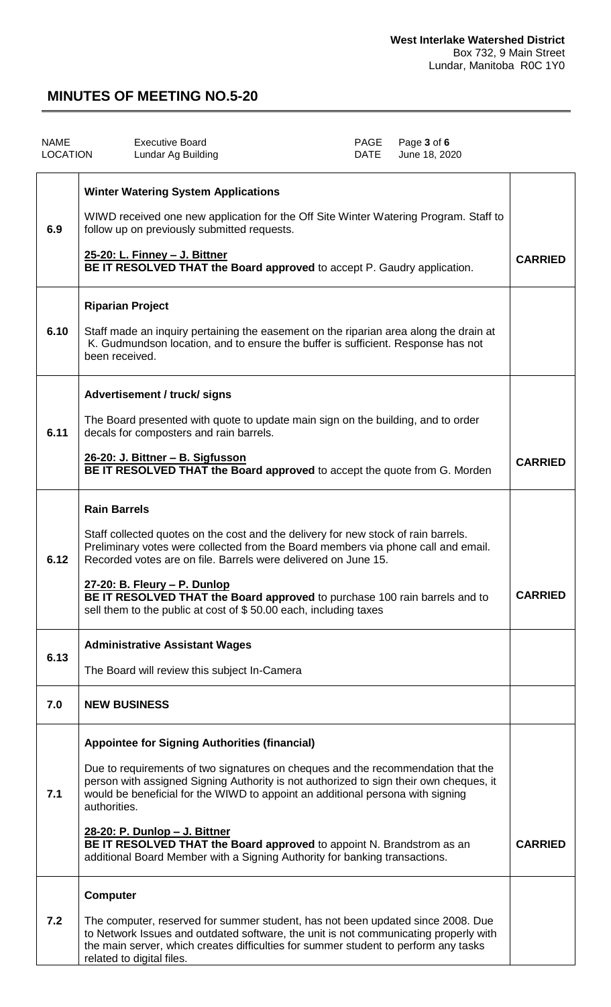| <b>NAME</b><br><b>LOCATION</b> | <b>Executive Board</b><br>PAGE<br>Page 3 of 6<br>Lundar Ag Building<br>DATE<br>June 18, 2020                                                                                                                                                                                                                                                                                                                                                                                                                                 |                |
|--------------------------------|------------------------------------------------------------------------------------------------------------------------------------------------------------------------------------------------------------------------------------------------------------------------------------------------------------------------------------------------------------------------------------------------------------------------------------------------------------------------------------------------------------------------------|----------------|
| 6.9                            | <b>Winter Watering System Applications</b><br>WIWD received one new application for the Off Site Winter Watering Program. Staff to<br>follow up on previously submitted requests.<br>25-20: L. Finney - J. Bittner<br>BE IT RESOLVED THAT the Board approved to accept P. Gaudry application.                                                                                                                                                                                                                                | <b>CARRIED</b> |
| 6.10                           | <b>Riparian Project</b><br>Staff made an inquiry pertaining the easement on the riparian area along the drain at<br>K. Gudmundson location, and to ensure the buffer is sufficient. Response has not<br>been received.                                                                                                                                                                                                                                                                                                       |                |
| 6.11                           | Advertisement / truck/ signs<br>The Board presented with quote to update main sign on the building, and to order<br>decals for composters and rain barrels.<br>26-20: J. Bittner - B. Sigfusson<br><b>BE IT RESOLVED THAT the Board approved to accept the quote from G. Morden</b>                                                                                                                                                                                                                                          | <b>CARRIED</b> |
| 6.12                           | <b>Rain Barrels</b><br>Staff collected quotes on the cost and the delivery for new stock of rain barrels.<br>Preliminary votes were collected from the Board members via phone call and email.<br>Recorded votes are on file. Barrels were delivered on June 15.<br>27-20: B. Fleury - P. Dunlop<br>BE IT RESOLVED THAT the Board approved to purchase 100 rain barrels and to<br>sell them to the public at cost of \$50.00 each, including taxes                                                                           | <b>CARRIED</b> |
| 6.13                           | <b>Administrative Assistant Wages</b><br>The Board will review this subject In-Camera                                                                                                                                                                                                                                                                                                                                                                                                                                        |                |
| 7.0                            | <b>NEW BUSINESS</b>                                                                                                                                                                                                                                                                                                                                                                                                                                                                                                          |                |
| 7.1                            | <b>Appointee for Signing Authorities (financial)</b><br>Due to requirements of two signatures on cheques and the recommendation that the<br>person with assigned Signing Authority is not authorized to sign their own cheques, it<br>would be beneficial for the WIWD to appoint an additional persona with signing<br>authorities.<br>28-20: P. Dunlop - J. Bittner<br>BE IT RESOLVED THAT the Board approved to appoint N. Brandstrom as an<br>additional Board Member with a Signing Authority for banking transactions. | <b>CARRIED</b> |
| 7.2                            | <b>Computer</b><br>The computer, reserved for summer student, has not been updated since 2008. Due<br>to Network Issues and outdated software, the unit is not communicating properly with<br>the main server, which creates difficulties for summer student to perform any tasks<br>related to digital files.                                                                                                                                                                                                               |                |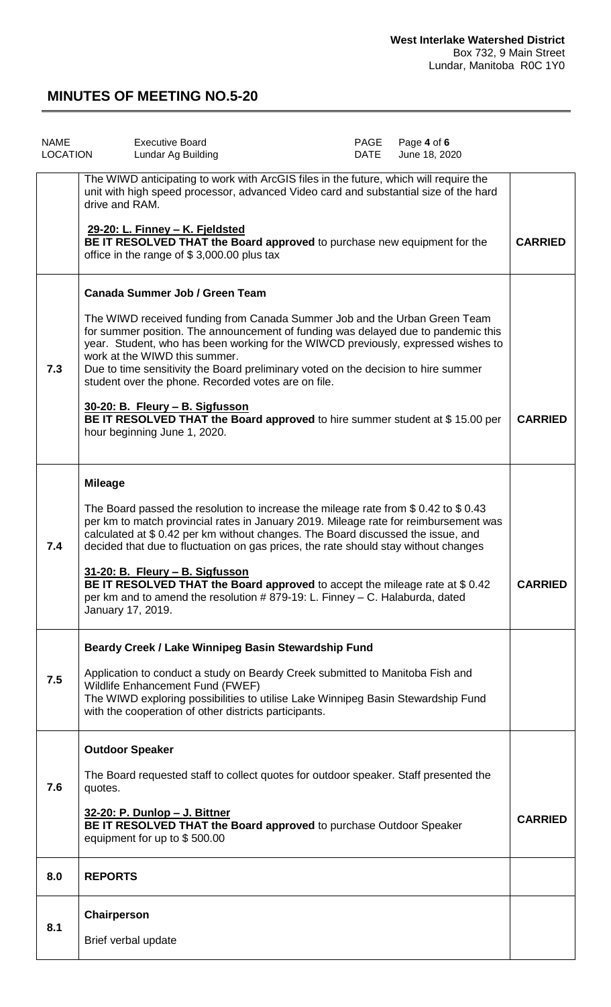| <b>NAME</b><br><b>LOCATION</b> | <b>Executive Board</b><br>Lundar Ag Building                                                                                                                                                                                                                                                                                                                                                                                                                                                                                                                                                                                  | PAGE<br><b>DATE</b> | Page 4 of 6<br>June 18, 2020 |                |
|--------------------------------|-------------------------------------------------------------------------------------------------------------------------------------------------------------------------------------------------------------------------------------------------------------------------------------------------------------------------------------------------------------------------------------------------------------------------------------------------------------------------------------------------------------------------------------------------------------------------------------------------------------------------------|---------------------|------------------------------|----------------|
|                                | The WIWD anticipating to work with ArcGIS files in the future, which will require the<br>unit with high speed processor, advanced Video card and substantial size of the hard<br>drive and RAM.<br>29-20: L. Finney - K. Fjeldsted<br>BE IT RESOLVED THAT the Board approved to purchase new equipment for the<br>office in the range of \$3,000.00 plus tax                                                                                                                                                                                                                                                                  |                     |                              | <b>CARRIED</b> |
|                                |                                                                                                                                                                                                                                                                                                                                                                                                                                                                                                                                                                                                                               |                     |                              |                |
| 7.3                            | <b>Canada Summer Job / Green Team</b><br>The WIWD received funding from Canada Summer Job and the Urban Green Team<br>for summer position. The announcement of funding was delayed due to pandemic this<br>year. Student, who has been working for the WIWCD previously, expressed wishes to<br>work at the WIWD this summer.<br>Due to time sensitivity the Board preliminary voted on the decision to hire summer<br>student over the phone. Recorded votes are on file.<br>30-20: B. Fleury - B. Sigfusson<br>BE IT RESOLVED THAT the Board approved to hire summer student at \$15.00 per<br>hour beginning June 1, 2020. |                     |                              | <b>CARRIED</b> |
|                                |                                                                                                                                                                                                                                                                                                                                                                                                                                                                                                                                                                                                                               |                     |                              |                |
| 7.4                            | <b>Mileage</b><br>The Board passed the resolution to increase the mileage rate from $$0.42$ to $$0.43$<br>per km to match provincial rates in January 2019. Mileage rate for reimbursement was<br>calculated at \$ 0.42 per km without changes. The Board discussed the issue, and<br>decided that due to fluctuation on gas prices, the rate should stay without changes<br>31-20: B. Fleury - B. Sigfusson<br>BE IT RESOLVED THAT the Board approved to accept the mileage rate at \$0.42<br>per km and to amend the resolution #879-19: L. Finney - C. Halaburda, dated<br>January 17, 2019.                               |                     |                              | <b>CARRIED</b> |
|                                | Beardy Creek / Lake Winnipeg Basin Stewardship Fund                                                                                                                                                                                                                                                                                                                                                                                                                                                                                                                                                                           |                     |                              |                |
| 7.5                            | Application to conduct a study on Beardy Creek submitted to Manitoba Fish and<br>Wildlife Enhancement Fund (FWEF)<br>The WIWD exploring possibilities to utilise Lake Winnipeg Basin Stewardship Fund<br>with the cooperation of other districts participants.                                                                                                                                                                                                                                                                                                                                                                |                     |                              |                |
|                                | <b>Outdoor Speaker</b>                                                                                                                                                                                                                                                                                                                                                                                                                                                                                                                                                                                                        |                     |                              |                |
| 7.6                            | The Board requested staff to collect quotes for outdoor speaker. Staff presented the<br>quotes.<br>32-20: P. Dunlop - J. Bittner<br>BE IT RESOLVED THAT the Board approved to purchase Outdoor Speaker<br>equipment for up to \$500.00                                                                                                                                                                                                                                                                                                                                                                                        |                     |                              | <b>CARRIED</b> |
| 8.0                            | <b>REPORTS</b>                                                                                                                                                                                                                                                                                                                                                                                                                                                                                                                                                                                                                |                     |                              |                |
| 8.1                            | Chairperson<br>Brief verbal update                                                                                                                                                                                                                                                                                                                                                                                                                                                                                                                                                                                            |                     |                              |                |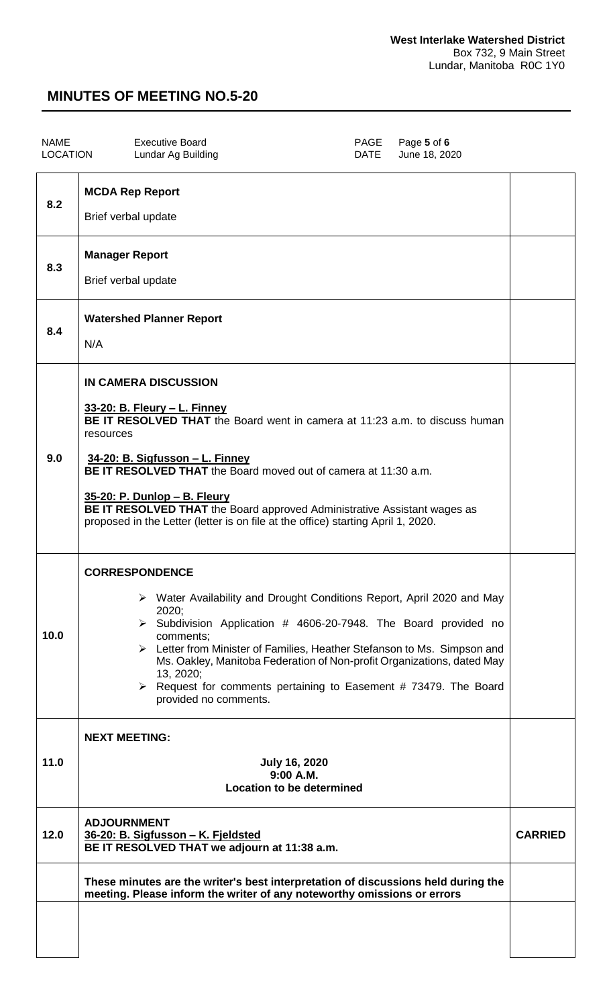| <b>NAME</b><br><b>LOCATION</b> | <b>Executive Board</b><br>PAGE<br>Page 5 of 6<br>Lundar Ag Building<br>DATE<br>June 18, 2020                                                                                                                                                                                                                                                                                                                                                                                                   |                |
|--------------------------------|------------------------------------------------------------------------------------------------------------------------------------------------------------------------------------------------------------------------------------------------------------------------------------------------------------------------------------------------------------------------------------------------------------------------------------------------------------------------------------------------|----------------|
| 8.2                            | <b>MCDA Rep Report</b><br>Brief verbal update                                                                                                                                                                                                                                                                                                                                                                                                                                                  |                |
| 8.3                            | <b>Manager Report</b><br>Brief verbal update                                                                                                                                                                                                                                                                                                                                                                                                                                                   |                |
| 8.4                            | <b>Watershed Planner Report</b><br>N/A                                                                                                                                                                                                                                                                                                                                                                                                                                                         |                |
| 9.0                            | <b>IN CAMERA DISCUSSION</b><br>33-20: B. Fleury - L. Finney<br>BE IT RESOLVED THAT the Board went in camera at 11:23 a.m. to discuss human<br>resources<br>34-20: B. Sigfusson - L. Finney<br><b>BE IT RESOLVED THAT</b> the Board moved out of camera at 11:30 a.m.<br>35-20: P. Dunlop - B. Fleury<br>BE IT RESOLVED THAT the Board approved Administrative Assistant wages as<br>proposed in the Letter (letter is on file at the office) starting April 1, 2020.                           |                |
| 10.0                           | <b>CORRESPONDENCE</b><br>> Water Availability and Drought Conditions Report, April 2020 and May<br>2020;<br>$\triangleright$ Subdivision Application # 4606-20-7948. The Board provided no<br>comments;<br>Executive Letter from Minister of Families, Heather Stefanson to Ms. Simpson and<br>Ms. Oakley, Manitoba Federation of Non-profit Organizations, dated May<br>13, 2020;<br>$\triangleright$ Request for comments pertaining to Easement # 73479. The Board<br>provided no comments. |                |
| 11.0                           | <b>NEXT MEETING:</b><br><b>July 16, 2020</b><br>9:00 A.M.<br><b>Location to be determined</b>                                                                                                                                                                                                                                                                                                                                                                                                  |                |
| 12.0                           | <b>ADJOURNMENT</b><br>36-20: B. Sigfusson - K. Fjeldsted<br>BE IT RESOLVED THAT we adjourn at 11:38 a.m.                                                                                                                                                                                                                                                                                                                                                                                       | <b>CARRIED</b> |
|                                | These minutes are the writer's best interpretation of discussions held during the<br>meeting. Please inform the writer of any noteworthy omissions or errors                                                                                                                                                                                                                                                                                                                                   |                |
|                                |                                                                                                                                                                                                                                                                                                                                                                                                                                                                                                |                |